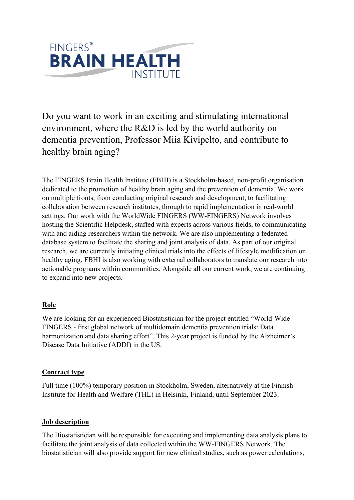

Do you want to work in an exciting and stimulating international environment, where the R&D is led by the world authority on dementia prevention, Professor Miia Kivipelto, and contribute to healthy brain aging?

The FINGERS Brain Health Institute (FBHI) is a Stockholm-based, non-profit organisation dedicated to the promotion of healthy brain aging and the prevention of dementia. We work on multiple fronts, from conducting original research and development, to facilitating collaboration between research institutes, through to rapid implementation in real-world settings. Our work with the WorldWide FINGERS (WW-FINGERS) Network involves hosting the Scientific Helpdesk, staffed with experts across various fields, to communicating with and aiding researchers within the network. We are also implementing a federated database system to facilitate the sharing and joint analysis of data. As part of our original research, we are currently initiating clinical trials into the effects of lifestyle modification on healthy aging. FBHI is also working with external collaborators to translate our research into actionable programs within communities. Alongside all our current work, we are continuing to expand into new projects.

# **Role**

We are looking for an experienced Biostatistician for the project entitled "World-Wide FINGERS - first global network of multidomain dementia prevention trials: Data harmonization and data sharing effort". This 2-year project is funded by the Alzheimer's Disease Data Initiative (ADDI) in the US.

### **Contract type**

Full time (100%) temporary position in Stockholm, Sweden, alternatively at the Finnish Institute for Health and Welfare (THL) in Helsinki, Finland, until September 2023.

### **Job description**

The Biostatistician will be responsible for executing and implementing data analysis plans to facilitate the joint analysis of data collected within the WW-FINGERS Network. The biostatistician will also provide support for new clinical studies, such as power calculations,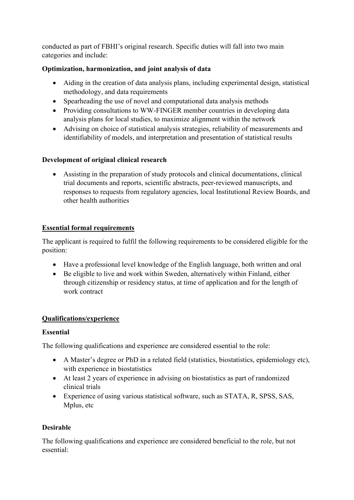conducted as part of FBHI's original research. Specific duties will fall into two main categories and include:

# **Optimization, harmonization, and joint analysis of data**

- Aiding in the creation of data analysis plans, including experimental design, statistical methodology, and data requirements
- Spearheading the use of novel and computational data analysis methods
- Providing consultations to WW-FINGER member countries in developing data analysis plans for local studies, to maximize alignment within the network
- Advising on choice of statistical analysis strategies, reliability of measurements and identifiability of models, and interpretation and presentation of statistical results

### **Development of original clinical research**

• Assisting in the preparation of study protocols and clinical documentations, clinical trial documents and reports, scientific abstracts, peer-reviewed manuscripts, and responses to requests from regulatory agencies, local Institutional Review Boards, and other health authorities

### **Essential formal requirements**

The applicant is required to fulfil the following requirements to be considered eligible for the position:

- Have a professional level knowledge of the English language, both written and oral
- Be eligible to live and work within Sweden, alternatively within Finland, either through citizenship or residency status, at time of application and for the length of work contract

# **Qualifications/experience**

### **Essential**

The following qualifications and experience are considered essential to the role:

- A Master's degree or PhD in a related field (statistics, biostatistics, epidemiology etc), with experience in biostatistics
- At least 2 years of experience in advising on biostatistics as part of randomized clinical trials
- Experience of using various statistical software, such as STATA, R, SPSS, SAS, Mplus, etc

# **Desirable**

The following qualifications and experience are considered beneficial to the role, but not essential: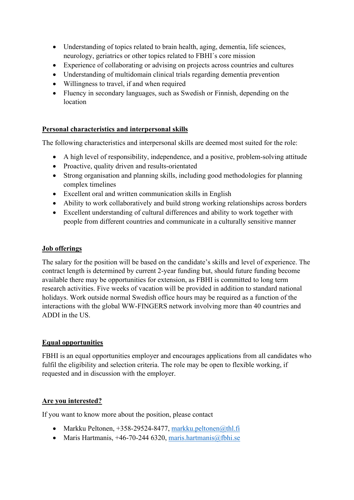- Understanding of topics related to brain health, aging, dementia, life sciences, neurology, geriatrics or other topics related to FBHI´s core mission
- Experience of collaborating or advising on projects across countries and cultures
- Understanding of multidomain clinical trials regarding dementia prevention
- Willingness to travel, if and when required
- Fluency in secondary languages, such as Swedish or Finnish, depending on the location

### **Personal characteristics and interpersonal skills**

The following characteristics and interpersonal skills are deemed most suited for the role:

- A high level of responsibility, independence, and a positive, problem-solving attitude
- Proactive, quality driven and results-orientated
- Strong organisation and planning skills, including good methodologies for planning complex timelines
- Excellent oral and written communication skills in English
- Ability to work collaboratively and build strong working relationships across borders
- Excellent understanding of cultural differences and ability to work together with people from different countries and communicate in a culturally sensitive manner

#### **Job offerings**

The salary for the position will be based on the candidate's skills and level of experience. The contract length is determined by current 2-year funding but, should future funding become available there may be opportunities for extension, as FBHI is committed to long term research activities. Five weeks of vacation will be provided in addition to standard national holidays. Work outside normal Swedish office hours may be required as a function of the interactions with the global WW-FINGERS network involving more than 40 countries and ADDI in the US.

### **Equal opportunities**

FBHI is an equal opportunities employer and encourages applications from all candidates who fulfil the eligibility and selection criteria. The role may be open to flexible working, if requested and in discussion with the employer.

### **Are you interested?**

If you want to know more about the position, please contact

- Markku Peltonen,  $+358-29524-8477$ , [markku.peltonen@thl.fi](mailto:markku.peltonen@thl.fi)
- Maris Hartmanis,  $+46-70-244$  6320, [maris.hartmanis@fbhi.se](mailto:maris.hartmanis@fbhi.se)